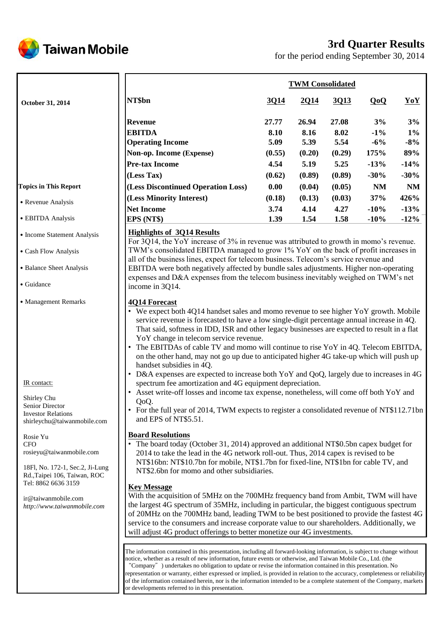

# **3rd Quarter Results**

for the period ending September 30, 2014

|                              | <b>TWM Consolidated</b>            |        |        |        |           |           |  |  |
|------------------------------|------------------------------------|--------|--------|--------|-----------|-----------|--|--|
| October 31, 2014             | NT\$bn                             | 3Q14   | 2Q14   | 3Q13   | QoQ       | YoY       |  |  |
|                              | <b>Revenue</b>                     | 27.77  | 26.94  | 27.08  | 3%        | 3%        |  |  |
|                              | <b>EBITDA</b>                      | 8.10   | 8.16   | 8.02   | $-1\%$    | $1\%$     |  |  |
|                              | <b>Operating Income</b>            | 5.09   | 5.39   | 5.54   | $-6\%$    | $-8%$     |  |  |
|                              | Non-op. Income (Expense)           | (0.55) | (0.20) | (0.29) | 175%      | 89%       |  |  |
|                              | <b>Pre-tax Income</b>              | 4.54   | 5.19   | 5.25   | $-13%$    | $-14%$    |  |  |
|                              | (Less Tax)                         | (0.62) | (0.89) | (0.89) | $-30%$    | $-30%$    |  |  |
| <b>Topics in This Report</b> | (Less Discontinued Operation Loss) | 0.00   | (0.04) | (0.05) | <b>NM</b> | <b>NM</b> |  |  |
| • Revenue Analysis           | (Less Minority Interest)           | (0.18) | (0.13) | (0.03) | 37%       | 426%      |  |  |
|                              | Net Income                         | 3.74   | 4.14   | 4.27   | $-10%$    | $-13%$    |  |  |
| • EBITDA Analysis            | EPS (NT\$)                         | 1.39   | 1.54   | 1.58   | $-10%$    | $-12%$    |  |  |
| • Income Statement Analysis  | <b>Highlights of 3Q14 Results</b>  |        |        |        |           |           |  |  |

˙Cash Flow Analysis

- ˙Balance Sheet Analysis
- ˙Guidance
- ˙Management Remarks

IR contact:

Shirley Chu Senior Director Investor Relations shirleychu@taiwanmobile.com

Rosie Yu **CFO** rosieyu@taiwanmobile.com

18Fl, No. 172-1, Sec.2, Ji-Lung Rd.,Taipei 106, Taiwan, ROC Tel: 8862 6636 3159

ir@taiwanmobile.com *http://www.taiwanmobile.com* For 3Q14, the YoY increase of 3% in revenue was attributed to growth in momo's revenue. TWM's consolidated EBITDA managed to grow 1% YoY on the back of profit increases in all of the business lines, expect for telecom business. Telecom's service revenue and EBITDA were both negatively affected by bundle sales adjustments. Higher non-operating expenses and D&A expenses from the telecom business inevitably weighed on TWM's net income in 3Q14.

### **4Q14 Forecast**

- We expect both 4Q14 handset sales and momo revenue to see higher YoY growth. Mobile service revenue is forecasted to have a low single-digit percentage annual increase in 4Q. That said, softness in IDD, ISR and other legacy businesses are expected to result in a flat YoY change in telecom service revenue.
- The EBITDAs of cable TV and momo will continue to rise YoY in 4Q. Telecom EBITDA, on the other hand, may not go up due to anticipated higher 4G take-up which will push up handset subsidies in 4Q.
- D&A expenses are expected to increase both YoY and QoQ, largely due to increases in 4G spectrum fee amortization and 4G equipment depreciation.
- Asset write-off losses and income tax expense, nonetheless, will come off both YoY and QoQ.
- For the full year of 2014, TWM expects to register a consolidated revenue of NT\$112.71bn and EPS of NT\$5.51.

### **Board Resolutions**

• The board today (October 31, 2014) approved an additional NT\$0.5bn capex budget for 2014 to take the lead in the 4G network roll-out. Thus, 2014 capex is revised to be NT\$16bn: NT\$10.7bn for mobile, NT\$1.7bn for fixed-line, NT\$1bn for cable TV, and NT\$2.6bn for momo and other subsidiaries.

### **Key Message**

With the acquisition of 5MHz on the 700MHz frequency band from Ambit, TWM will have the largest 4G spectrum of 35MHz, including in particular, the biggest contiguous spectrum of 20MHz on the 700MHz band, leading TWM to be best positioned to provide the fastest 4G service to the consumers and increase corporate value to our shareholders. Additionally, we will adjust 4G product offerings to better monetize our 4G investments.

The information contained in this presentation, including all forward-looking information, is subject to change without notice, whether as a result of new information, future events or otherwise, and Taiwan Mobile Co., Ltd. (the "Company") undertakes no obligation to update or revise the information contained in this presentation. No representation or warranty, either expressed or implied, is provided in relation to the accuracy, completeness or reliability of the information contained herein, nor is the information intended to be a complete statement of the Company, markets or developments referred to in this presentation.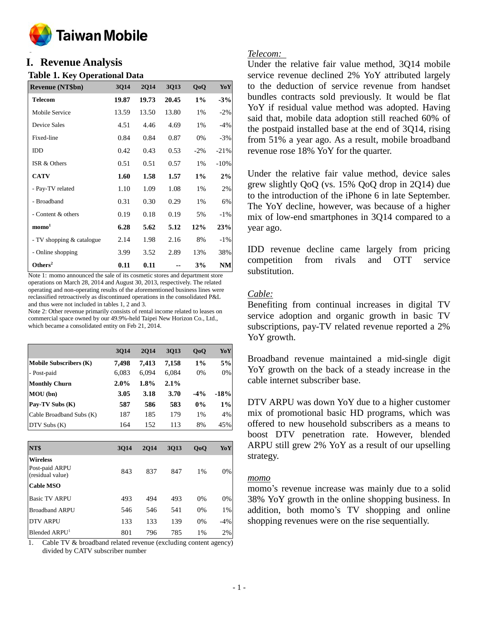

### **o I. Revenue Analysis**

### **Table 1. Key Operational Data**

| <b>Revenue (NT\$bn)</b>   | 3014  | <b>2Q14</b> | <b>3Q13</b> | QoQ    | YoY    |
|---------------------------|-------|-------------|-------------|--------|--------|
| <b>Telecom</b>            | 19.87 | 19.73       | 20.45       | $1\%$  | $-3%$  |
| Mobile Service            | 13.59 | 13.50       | 13.80       | 1%     | $-2%$  |
| Device Sales              | 4.51  | 4.46        | 4.69        | 1%     | $-4%$  |
| Fixed-line                | 0.84  | 0.84        | 0.87        | 0%     | $-3%$  |
| IDD                       | 0.42  | 0.43        | 0.53        | $-2\%$ | $-21%$ |
| ISR & Others              | 0.51  | 0.51        | 0.57        | 1%     | $-10%$ |
| <b>CATV</b>               | 1.60  | 1.58        | 1.57        | $1\%$  | 2%     |
| - Pay-TV related          | 1.10  | 1.09        | 1.08        | 1%     | 2%     |
| - Broadband               | 0.31  | 0.30        | 0.29        | 1%     | 6%     |
| - Content & others        | 0.19  | 0.18        | 0.19        | 5%     | $-1\%$ |
| $\mathbf{mono}^1$         | 6.28  | 5.62        | 5.12        | 12%    | 23%    |
| - TV shopping & catalogue | 2.14  | 1.98        | 2.16        | 8%     | $-1\%$ |
| - Online shopping         | 3.99  | 3.52        | 2.89        | 13%    | 38%    |
| Others <sup>2</sup>       | 0.11  | 0.11        |             | 3%     | NM     |

Note 1: momo announced the sale of its cosmetic stores and department store operations on March 28, 2014 and August 30, 2013, respectively. The related operating and non-operating results of the aforementioned business lines were reclassified retroactively as discontinued operations in the consolidated P&L and thus were not included in tables 1, 2 and 3.

Note 2: Other revenue primarily consists of rental income related to leases on commercial space owned by our 49.9%-held Taipei New Horizon Co., Ltd., which became a consolidated entity on Feb 21, 2014.

|                               | 3014    | <b>2014</b> | 3013  | QoQ   | YoY    |
|-------------------------------|---------|-------------|-------|-------|--------|
| <b>Mobile Subscribers (K)</b> | 7.498   | 7.413       | 7.158 | $1\%$ | 5%     |
| - Post-paid                   | 6.083   | 6.094       | 6,084 | 0%    | 0%     |
| <b>Monthly Churn</b>          | $2.0\%$ | $1.8\%$     | 2.1%  |       |        |
| MOU(bn)                       | 3.05    | 3.18        | 3.70  | $-4%$ | $-18%$ |
| Pay-TV Subs (K)               | 587     | 586         | 583   | $0\%$ | $1\%$  |
| Cable Broadband Subs (K)      | 187     | 185         | 179   | $1\%$ | 4%     |
| DTV Subs(K)                   | 164     | 152         | 113   | 8%    | 45%    |

| NT\$                                                  | 3014 | <b>2014</b> | 3013 | QoQ   | YoY   |
|-------------------------------------------------------|------|-------------|------|-------|-------|
| <b>Wireless</b><br>Post-paid ARPU<br>(residual value) | 843  | 837         | 847  | $1\%$ | 0%    |
| <b>Cable MSO</b>                                      |      |             |      |       |       |
| <b>Basic TV ARPU</b>                                  | 493  | 494         | 493  | 0%    | 0%    |
| <b>Broadband ARPU</b>                                 | 546  | 546         | 541  | 0%    | 1%    |
| <b>DTV ARPU</b>                                       | 133  | 133         | 139  | 0%    | $-4%$ |
| Blended ARPU <sup>1</sup>                             | 801  | 796         | 785  | 1%    | 2%    |

1. Cable TV & broadband related revenue (excluding content agency) divided by CATV subscriber number

### *Telecom:*

Under the relative fair value method, 3Q14 mobile service revenue declined 2% YoY attributed largely to the deduction of service revenue from handset bundles contracts sold previously. It would be flat YoY if residual value method was adopted. Having said that, mobile data adoption still reached 60% of the postpaid installed base at the end of 3Q14, rising from 51% a year ago. As a result, mobile broadband revenue rose 18% YoY for the quarter.

Under the relative fair value method, device sales grew slightly QoQ (vs. 15% QoQ drop in 2Q14) due to the introduction of the iPhone 6 in late September. The YoY decline, however, was because of a higher mix of low-end smartphones in 3Q14 compared to a year ago.

IDD revenue decline came largely from pricing competition from rivals and OTT service substitution.

### *Cable:*

Benefiting from continual increases in digital TV service adoption and organic growth in basic TV subscriptions, pay-TV related revenue reported a 2% YoY growth.

Broadband revenue maintained a mid-single digit YoY growth on the back of a steady increase in the cable internet subscriber base.

DTV ARPU was down YoY due to a higher customer mix of promotional basic HD programs, which was offered to new household subscribers as a means to boost DTV penetration rate. However, blended ARPU still grew 2% YoY as a result of our upselling strategy.

### *momo*

momo's revenue increase was mainly due to a solid 38% YoY growth in the online shopping business. In addition, both momo's TV shopping and online shopping revenues were on the rise sequentially.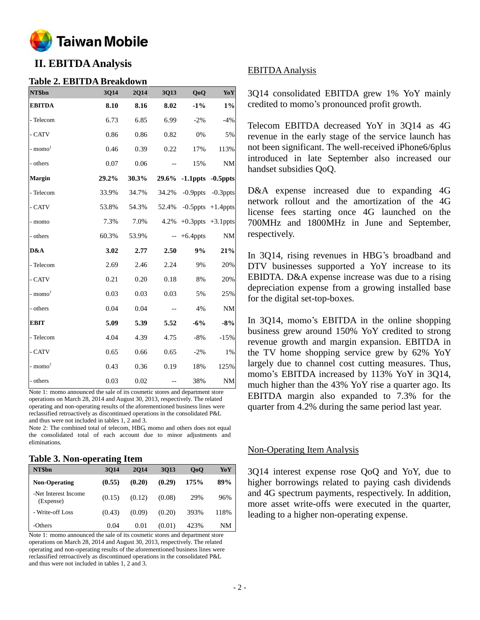

# **II. EBITDA Analysis**

### **Table 2. EBITDA Breakdown**

| NT\$bn        | 3Q14  | 2Q14  | 3Q13                                                | QoQ                     | Yo Y                    |
|---------------|-------|-------|-----------------------------------------------------|-------------------------|-------------------------|
| <b>EBITDA</b> | 8.10  | 8.16  | 8.02                                                | $-1\%$                  | $1\%$                   |
| - Telecom     | 6.73  | 6.85  | 6.99                                                | $-2\%$                  | $-4%$                   |
| - CATV        | 0.86  | 0.86  | 0.82                                                | 0%                      | 5%                      |
| - $momo1$     | 0.46  | 0.39  | 0.22                                                | 17%                     | 113%                    |
| - others      | 0.07  | 0.06  | $-$                                                 | 15%                     | $\mathrm{NM}$           |
| Margin        | 29.2% | 30.3% |                                                     | 29.6% -1.1ppts -0.5ppts |                         |
| - Telecom     | 33.9% | 34.7% | 34.2%                                               |                         | $-0.9$ ppts $-0.3$ ppts |
| - CATV        | 53.8% | 54.3% | 52.4%                                               |                         | $-0.5$ ppts $+1.4$ ppts |
| - momo        | 7.3%  | 7.0%  | 4.2%                                                |                         | $+0.3$ ppts $+3.1$ ppts |
| - others      | 60.3% | 53.9% |                                                     | $- +6.4$ ppts           | <b>NM</b>               |
| D&A           | 3.02  | 2.77  | 2.50                                                | 9%                      | 21%                     |
| - Telecom     | 2.69  | 2.46  | 2.24                                                | 9%                      | 20%                     |
| - CATV        | 0.21  | 0.20  | 0.18                                                | 8%                      | 20%                     |
| $-$ momo $1$  | 0.03  | 0.03  | 0.03                                                | 5%                      | 25%                     |
| - others      | 0.04  | 0.04  | $\hspace{0.05cm} -\hspace{0.05cm} -\hspace{0.05cm}$ | 4%                      | NM                      |
| <b>EBIT</b>   | 5.09  | 5.39  | 5.52                                                | $-6%$                   | $-8%$                   |
| - Telecom     | 4.04  | 4.39  | 4.75                                                | $-8%$                   | $-15%$                  |
| - CATV        | 0.65  | 0.66  | 0.65                                                | $-2\%$                  | 1%                      |
| $-$ momo $1$  | 0.43  | 0.36  | 0.19                                                | 18%                     | 125%                    |
| - others      | 0.03  | 0.02  |                                                     | 38%                     | $\mathrm{NM}$           |

Note 1: momo announced the sale of its cosmetic stores and department store operations on March 28, 2014 and August 30, 2013, respectively. The related operating and non-operating results of the aforementioned business lines were reclassified retroactively as discontinued operations in the consolidated P&L and thus were not included in tables 1, 2 and 3.

Note 2: The combined total of telecom, HBG, momo and others does not equal the consolidated total of each account due to minor adjustments and eliminations.

### **Table 3. Non-operating Item**

|                                   | -      |        |        |                |      |
|-----------------------------------|--------|--------|--------|----------------|------|
| NT\$bn                            | 3014   | 2014   | 3013   | 0 <sub>0</sub> | YoY  |
| <b>Non-Operating</b>              | (0.55) | (0.20) | (0.29) | 175%           | 89%  |
| -Net Interest Income<br>(Expense) | (0.15) | (0.12) | (0.08) | 29%            | 96%  |
| - Write-off Loss                  | (0.43) | (0.09) | (0.20) | 393%           | 118% |
| -Others                           | 0.04   | 0.01   | (0.01) | 423%           | NΜ   |

Note 1: momo announced the sale of its cosmetic stores and department store operations on March 28, 2014 and August 30, 2013, respectively. The related operating and non-operating results of the aforementioned business lines were reclassified retroactively as discontinued operations in the consolidated P&L and thus were not included in tables 1, 2 and 3.

### EBITDA Analysis

3Q14 consolidated EBITDA grew 1% YoY mainly credited to momo's pronounced profit growth.

Telecom EBITDA decreased YoY in 3Q14 as 4G revenue in the early stage of the service launch has not been significant. The well-received iPhone6/6plus introduced in late September also increased our handset subsidies QoQ.

D&A expense increased due to expanding 4G network rollout and the amortization of the 4G license fees starting once 4G launched on the 700MHz and 1800MHz in June and September, respectively.

In 3Q14, rising revenues in HBG's broadband and DTV businesses supported a YoY increase to its EBIDTA. D&A expense increase was due to a rising depreciation expense from a growing installed base for the digital set-top-boxes.

In 3Q14, momo's EBITDA in the online shopping business grew around 150% YoY credited to strong revenue growth and margin expansion. EBITDA in the TV home shopping service grew by 62% YoY largely due to channel cost cutting measures. Thus, momo's EBITDA increased by 113% YoY in 3Q14, much higher than the 43% YoY rise a quarter ago. Its EBITDA margin also expanded to 7.3% for the quarter from 4.2% during the same period last year.

### Non-Operating Item Analysis

3Q14 interest expense rose QoQ and YoY, due to higher borrowings related to paying cash dividends and 4G spectrum payments, respectively. In addition, more asset write-offs were executed in the quarter, leading to a higher non-operating expense.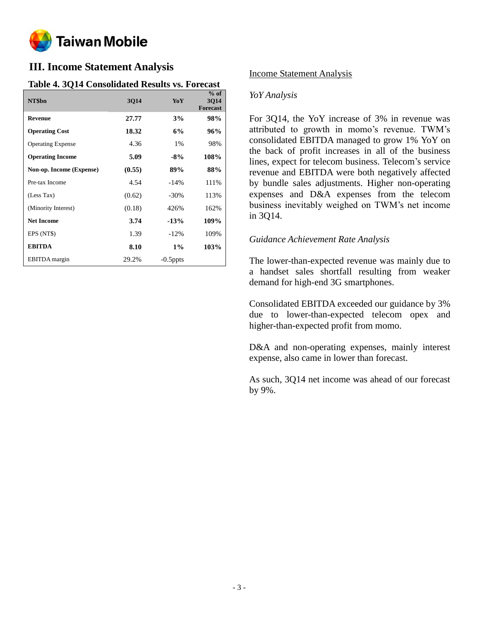

# **III. Income Statement Analysis**

### **Table 4. 3Q14 Consolidated Results vs. Forecast**

| NT\$bn                   | 3Q14   | YoY         | $%$ of<br>3Q14<br><b>Forecast</b> |
|--------------------------|--------|-------------|-----------------------------------|
| <b>Revenue</b>           | 27.77  | 3%          | 98%                               |
| <b>Operating Cost</b>    | 18.32  | 6%          | 96%                               |
| <b>Operating Expense</b> | 4.36   | 1%          | 98%                               |
| <b>Operating Income</b>  | 5.09   | $-8\%$      | 108%                              |
| Non-op. Income (Expense) | (0.55) | 89%         | 88%                               |
| Pre-tax Income           | 4.54   | $-14%$      | 111%                              |
| (Less Tax)               | (0.62) | $-30\%$     | 113%                              |
| (Minority Interest)      | (0.18) | 426%        | 162%                              |
| <b>Net Income</b>        | 3.74   | $-13%$      | 109%                              |
| EPS (NT\$)               | 1.39   | $-12%$      | 109%                              |
| <b>EBITDA</b>            | 8.10   | $1\%$       | 103%                              |
| EBITDA margin            | 29.2%  | $-0.5$ ppts |                                   |

### Income Statement Analysis

### *YoY Analysis*

For 3Q14, the YoY increase of 3% in revenue was attributed to growth in momo's revenue. TWM's consolidated EBITDA managed to grow 1% YoY on the back of profit increases in all of the business lines, expect for telecom business. Telecom's service revenue and EBITDA were both negatively affected by bundle sales adjustments. Higher non-operating expenses and D&A expenses from the telecom business inevitably weighed on TWM's net income in 3Q14.

### *Guidance Achievement Rate Analysis*

The lower-than-expected revenue was mainly due to a handset sales shortfall resulting from weaker demand for high-end 3G smartphones.

Consolidated EBITDA exceeded our guidance by 3% due to lower-than-expected telecom opex and higher-than-expected profit from momo.

D&A and non-operating expenses, mainly interest expense, also came in lower than forecast.

As such, 3Q14 net income was ahead of our forecast by 9%.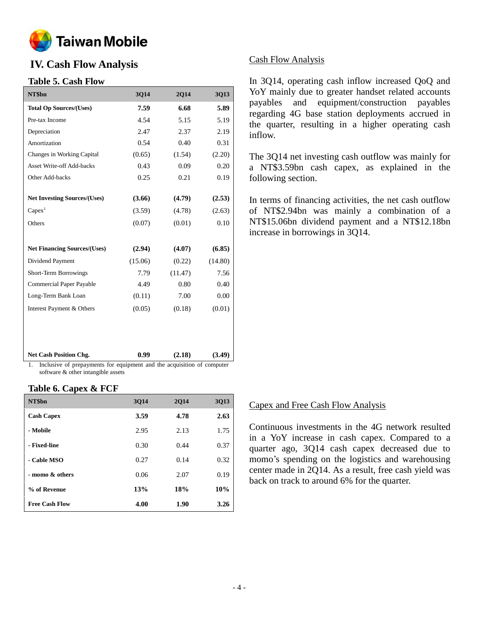

# **IV. Cash Flow Analysis**

### **Table 5. Cash Flow**

| 3Q14    | 2Q14    | 3Q13                                                                    |
|---------|---------|-------------------------------------------------------------------------|
| 7.59    | 6.68    | 5.89                                                                    |
| 4.54    | 5.15    | 5.19                                                                    |
| 2.47    | 2.37    | 2.19                                                                    |
| 0.54    | 0.40    | 0.31                                                                    |
| (0.65)  | (1.54)  | (2.20)                                                                  |
| 0.43    | 0.09    | 0.20                                                                    |
| 0.25    | 0.21    | 0.19                                                                    |
|         |         |                                                                         |
| (3.66)  | (4.79)  | (2.53)                                                                  |
| (3.59)  | (4.78)  | (2.63)                                                                  |
| (0.07)  | (0.01)  | 0.10                                                                    |
|         |         |                                                                         |
| (2.94)  | (4.07)  | (6.85)                                                                  |
| (15.06) | (0.22)  | (14.80)                                                                 |
| 7.79    | (11.47) | 7.56                                                                    |
| 4.49    | 0.80    | 0.40                                                                    |
| (0.11)  | 7.00    | 0.00                                                                    |
| (0.05)  | (0.18)  | (0.01)                                                                  |
|         |         |                                                                         |
|         |         |                                                                         |
|         |         |                                                                         |
| 0.99    | (2.18)  | (3.49)                                                                  |
|         |         | Including of necessary onto for continuous and the constitution of com- |

1. Inclusive of prepayments for equipment and the acquisition of computer software & other intangible assets

### **Table 6. Capex & FCF**

| NT\$bn                | 3014 | <b>2014</b> | <b>3Q13</b> |
|-----------------------|------|-------------|-------------|
| <b>Cash Capex</b>     | 3.59 | 4.78        | 2.63        |
| - Mobile              | 2.95 | 2.13        | 1.75        |
| - Fixed-line          | 0.30 | 0.44        | 0.37        |
| - Cable MSO           | 0.27 | 0.14        | 0.32        |
| - momo & others       | 0.06 | 2.07        | 0.19        |
| % of Revenue          | 13%  | 18%         | 10%         |
| <b>Free Cash Flow</b> | 4.00 | 1.90        | 3.26        |

### Cash Flow Analysis

In 3Q14, operating cash inflow increased QoQ and YoY mainly due to greater handset related accounts payables and equipment/construction payables regarding 4G base station deployments accrued in the quarter, resulting in a higher operating cash inflow.

The 3Q14 net investing cash outflow was mainly for a NT\$3.59bn cash capex, as explained in the following section.

In terms of financing activities, the net cash outflow of NT\$2.94bn was mainly a combination of a NT\$15.06bn dividend payment and a NT\$12.18bn increase in borrowings in 3Q14.

### Capex and Free Cash Flow Analysis

Continuous investments in the 4G network resulted in a YoY increase in cash capex. Compared to a quarter ago, 3Q14 cash capex decreased due to momo's spending on the logistics and warehousing center made in 2Q14. As a result, free cash yield was back on track to around 6% for the quarter.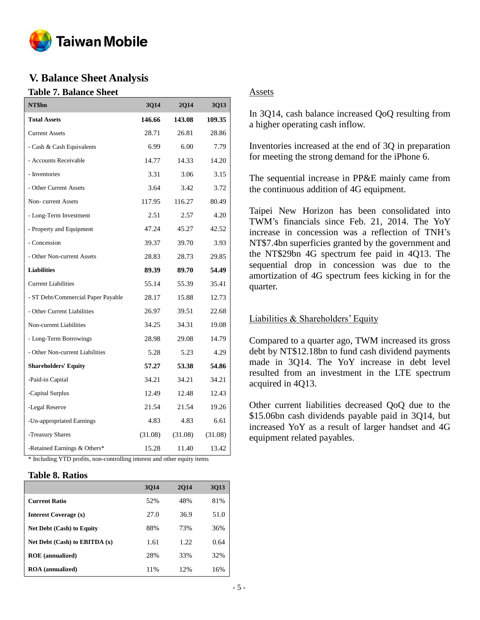

## **V. Balance Sheet Analysis**

### **Table 7. Balance Sheet**

| NT\$bn                             | 3Q14    | 2Q14    | <b>3Q13</b> |
|------------------------------------|---------|---------|-------------|
| <b>Total Assets</b>                | 146.66  | 143.08  | 109.35      |
| <b>Current Assets</b>              | 28.71   | 26.81   | 28.86       |
| - Cash & Cash Equivalents          | 6.99    | 6.00    | 7.79        |
| - Accounts Receivable              | 14.77   | 14.33   | 14.20       |
| - Inventories                      | 3.31    | 3.06    | 3.15        |
| - Other Current Assets             | 3.64    | 3.42    | 3.72        |
| Non-current Assets                 | 117.95  | 116.27  | 80.49       |
| - Long-Term Investment             | 2.51    | 2.57    | 4.20        |
| - Property and Equipment           | 47.24   | 45.27   | 42.52       |
| - Concession                       | 39.37   | 39.70   | 3.93        |
| - Other Non-current Assets         | 28.83   | 28.73   | 29.85       |
| <b>Liabilities</b>                 | 89.39   | 89.70   | 54.49       |
| <b>Current Liabilities</b>         | 55.14   | 55.39   | 35.41       |
| - ST Debt/Commercial Paper Payable | 28.17   | 15.88   | 12.73       |
| - Other Current Liabilities        | 26.97   | 39.51   | 22.68       |
| Non-current Liabilities            | 34.25   | 34.31   | 19.08       |
| - Long-Term Borrowings             | 28.98   | 29.08   | 14.79       |
| - Other Non-current Liabilities    | 5.28    | 5.23    | 4.29        |
| <b>Shareholders' Equity</b>        | 57.27   | 53.38   | 54.86       |
| -Paid-in Capital                   | 34.21   | 34.21   | 34.21       |
| -Capital Surplus                   | 12.49   | 12.48   | 12.43       |
| -Legal Reserve                     | 21.54   | 21.54   | 19.26       |
| -Un-appropriated Earnings          | 4.83    | 4.83    | 6.61        |
| -Treasury Shares                   | (31.08) | (31.08) | (31.08)     |
| -Retained Earnings & Others*       | 15.28   | 11.40   | 13.42       |

\* Including YTD profits, non-controlling interest and other equity items

### **Table 8. Ratios**

|                                  | 3014 | <b>2014</b> | <b>3Q13</b> |
|----------------------------------|------|-------------|-------------|
| <b>Current Ratio</b>             | 52%  | 48%         | 81%         |
| <b>Interest Coverage (x)</b>     | 27.0 | 36.9        | 51.0        |
| <b>Net Debt (Cash) to Equity</b> | 88%  | 73%         | 36%         |
| Net Debt (Cash) to EBITDA $(x)$  | 1.61 | 1.22        | 0.64        |
| <b>ROE</b> (annualized)          | 28%  | 33%         | 32%         |
| <b>ROA</b> (annualized)          | 11%  | 12%         | 16%         |

### Assets

In 3Q14, cash balance increased QoQ resulting from a higher operating cash inflow.

Inventories increased at the end of 3Q in preparation for meeting the strong demand for the iPhone 6.

The sequential increase in PP&E mainly came from the continuous addition of 4G equipment.

Taipei New Horizon has been consolidated into TWM's financials since Feb. 21, 2014. The YoY increase in concession was a reflection of TNH's NT\$7.4bn superficies granted by the government and the NT\$29bn 4G spectrum fee paid in 4Q13. The sequential drop in concession was due to the amortization of 4G spectrum fees kicking in for the quarter.

### Liabilities & Shareholders' Equity

Compared to a quarter ago, TWM increased its gross debt by NT\$12.18bn to fund cash dividend payments made in 3Q14. The YoY increase in debt level resulted from an investment in the LTE spectrum acquired in 4Q13.

Other current liabilities decreased QoQ due to the \$15.06bn cash dividends payable paid in 3Q14, but increased YoY as a result of larger handset and 4G equipment related payables.